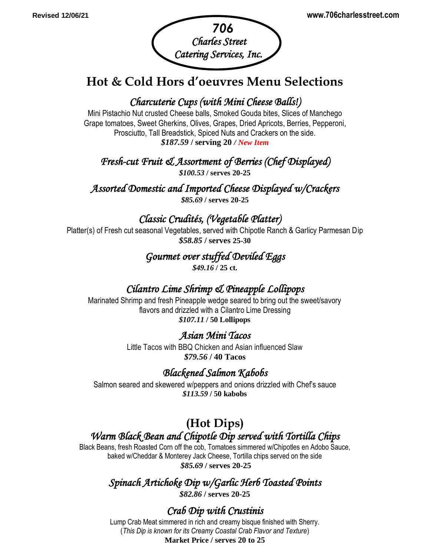

# **Hot & Cold Hors d'oeuvres Menu Selections**

## *Charcuterie Cups (with Mini Cheese Balls!)*

Mini Pistachio Nut crusted Cheese balls, Smoked Gouda bites, Slices of Manchego Grape tomatoes, Sweet Gherkins, Olives, Grapes, Dried Apricots, Berries, Pepperoni, Prosciutto, Tall Breadstick, Spiced Nuts and Crackers on the side. *\$187.59* **/ serving 20** */ New Item*

*Fresh-cut Fruit & Assortment of Berries (Chef Displayed)* 

*\$100.53* **/ serves 20-25**

*Assorted Domestic and Imported Cheese Displayed w/Crackers \$85.69* **/ serves 20-25**

*Classic Crudités, (Vegetable Platter)* 

Platter(s) of Fresh cut seasonal Vegetables, served with Chipotle Ranch & Garlicy Parmesan Dip *\$58.85* **/ serves 25-30**

#### *Gourmet over stuffed Deviled Eggs \$49.16* **/ 25 ct.**

# *Cilantro Lime Shrimp & Pineapple Lollipops*

Marinated Shrimp and fresh Pineapple wedge seared to bring out the sweet/savory flavors and drizzled with a Cilantro Lime Dressing *\$107.11* **/ 50 Lollipops**

## *[Asian Mini Tacos](http://www.nibblemethis.com/2012/02/asian-mini-tacos.html)*

Little Tacos with BBQ Chicken and Asian influenced Slaw *\$79.56* **/ 40 Tacos**

## *Blackened Salmon Kabobs*

Salmon seared and skewered w/peppers and onions drizzled with Chef's sauce *\$113.59* **/ 50 kabobs**

# **(Hot Dips)** *Warm Black Bean and Chipotle Dip served with Tortilla Chips*

Black Beans, fresh Roasted Corn off the cob, Tomatoes simmered w/Chipotles en Adobo Sauce, baked w/Cheddar & Monterey Jack Cheese, Tortilla chips served on the side *\$85.69* **/ serves 20-25**

# *Spinach Artichoke Dip w/Garlic Herb Toasted Points*

*\$82.86* **/ serves 20-25**

## *Crab Dip with Crustinis*

Lump Crab Meat simmered in rich and creamy bisque finished with Sherry. (*This Dip is known for its Creamy Coastal Crab Flavor and Texture*) **Market Price / serves 20 to 25**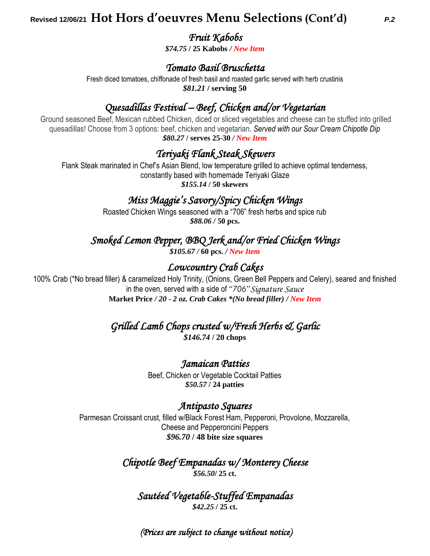# **Revised 12/06/21 Hot Hors d'oeuvres Menu Selections (Cont'd)** *P.2*

#### *Fruit Kabobs*

*\$74.75* **/ 25 Kabobs** */ New Item*

#### *Tomato Basil Bruschetta*

Fresh diced tomatoes, chiffonade of fresh basil and roasted garlic served with herb crustinis *\$81.21* **/ serving 50**

## *Quesadillas Festival – Beef, Chicken and/or Vegetarian*

Ground seasoned Beef, Mexican rubbed Chicken, diced or sliced vegetables and cheese can be stuffed into grilled quesadillas! Choose from 3 options: beef, chicken and vegetarian. *Served with our Sour Cream Chipotle Dip \$80.27* **/ serves 25-30** */ New Item*

## *Teriyaki Flank Steak Skewers*

Flank Steak marinated in Chef's Asian Blend, low temperature grilled to achieve optimal tenderness, constantly based with homemade Teriyaki Glaze *\$155.14* **/ 50 skewers**

## *Miss Maggie's Savory/Spicy Chicken Wings*

Roasted Chicken Wings seasoned with a "706" fresh herbs and spice rub *\$88.06 /* **50 pcs.**

## *Smoked Lemon Pepper, BBQ Jerk and/or Fried Chicken Wings*

*\$105.67 /* **60 pcs.** */ New Item*

## *Lowcountry Crab Cakes*

100% Crab (\*No bread filler) & caramelized Holy Trinity, (Onions, Green Bell Peppers and Celery), seared and finished in the oven, served with a side of *"706"Signature Sauce* **Market Price** */ 20* **-** *2 oz. Crab Cakes \*(No bread filler) / New Item*

*Grilled Lamb Chops crusted w/Fresh Herbs & Garlic* 

*\$146.74* **/ 20 chops**

#### *Jamaican Patties*

Beef, Chicken or Vegetable Cocktail Patties *\$50.57* **/ 24 patties**

#### *Antipasto Squares*

Parmesan Croissant crust, filled w/Black Forest Ham, Pepperoni, Provolone, Mozzarella, Cheese and Pepperoncini Peppers *\$96.70* **/ 48 bite size squares**

> *Chipotle Beef Empanadas w/ Monterey Cheese \$56.50***/ 25 ct.**

*Sautéed Vegetable-Stuffed Empanadas \$42.25* **/ 25 ct.**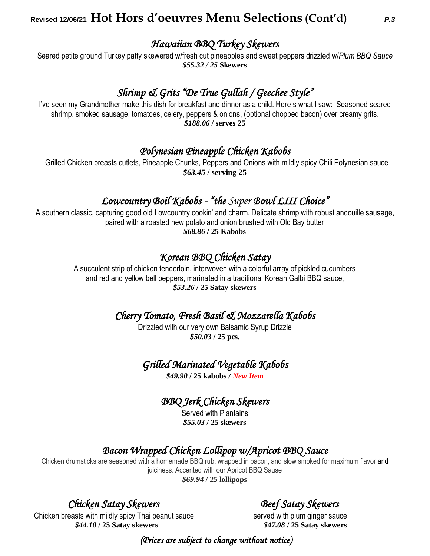# **Revised 12/06/21 Hot Hors d'oeuvres Menu Selections (Cont'd)** *P.3*

*Hawaiian BBQ Turkey Skewers* 

Seared petite ground Turkey patty skewered w/fresh cut pineapples and sweet peppers drizzled w/*Plum BBQ Sauce \$55.32 / 25* **Skewers**

## *Shrimp & Grits "De True Gullah / Geechee Style"*

I've seen my Grandmother make this dish for breakfast and dinner as a child. Here's what I saw: Seasoned seared shrimp, smoked sausage, tomatoes, celery, peppers & onions, (optional chopped bacon) over creamy grits. *\$188.06* **/ serves 25**

# *Polynesian Pineapple Chicken Kabobs*

 Grilled Chicken breasts cutlets, Pineapple Chunks, Peppers and Onions with mildly spicy Chili Polynesian sauce *\$63.45* **/ serving 25** 

## *Lowcountry Boil Kabobs - "the Super Bowl LIII Choice"*

A southern classic, capturing good old Lowcountry cookin' and charm. Delicate shrimp with robust andouille sausage, paired with a roasted new potato and onion brushed with Old Bay butter *\$68.86* **/ 25 Kabobs**

## *Korean BBQ Chicken Satay*

A succulent strip of chicken tenderloin, interwoven with a colorful array of pickled cucumbers and red and yellow bell peppers, marinated in a traditional Korean Galbi BBQ sauce, *\$53.26* **/ 25 Satay skewers**

## *Cherry Tomato, Fresh Basil & Mozzarella Kabobs*

Drizzled with our very own Balsamic Syrup Drizzle *\$50.03* **/ 25 pcs.**

#### *Grilled Marinated Vegetable Kabobs*

*\$49.90* **/ 25 kabobs** */ New Item*

## *BBQ Jerk Chicken Skewers*

Served with Plantains *\$55.03* **/ 25 skewers**

## *Bacon Wrapped Chicken Lollipop w/Apricot BBQ Sauce*

Chicken drumsticks are seasoned with a homemade BBQ rub, wrapped in bacon, and slow smoked for maximum flavor and juiciness. Accented with our Apricot BBQ Sause *\$69.94* **/ 25 lollipops**

## *Chicken Satay Skewers Beef Satay Skewers*

Chicken breasts with mildly spicy Thai peanut sauce served with plum ginger sauce  *\$44.10* **/ 25 Satay skewers** *\$47.08* **/ 25 Satay skewers**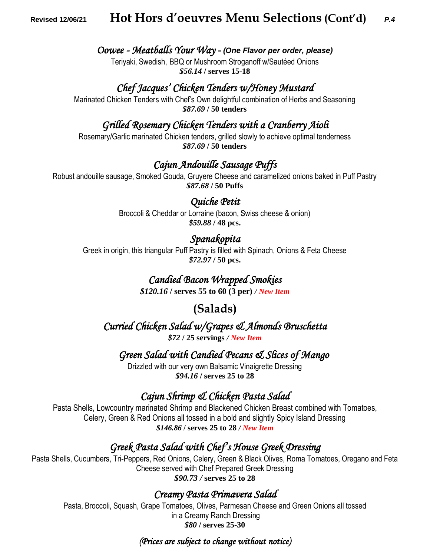## **Revised 12/06/21 Hot Hors d'oeuvres Menu Selections (Cont'd)** *P.4*

#### *Oowee - Meatballs Your Way - (One Flavor per order, please)*

Teriyaki, Swedish,BBQ or Mushroom Stroganoff w/Sautéed Onions *\$56.14* **/ serves 15-18**

#### *Chef Jacques' Chicken Tenders w/Honey Mustard*

Marinated Chicken Tenders with Chef's Own delightful combination of Herbs and Seasoning *\$87.69* **/ 50 tenders**

#### *Grilled Rosemary Chicken Tenders with a Cranberry Aioli*

Rosemary/Garlic marinated Chicken tenders, grilled slowly to achieve optimal tenderness *\$87.69* **/ 50 tenders**

#### *Cajun Andouille Sausage Puffs*

Robust andouille sausage, Smoked Gouda, Gruyere Cheese and caramelized onions baked in Puff Pastry *\$87.68* **/ 50 Puffs**

#### *Quiche Petit*

Broccoli & Cheddar or Lorraine (bacon, Swiss cheese & onion) *\$59.88* **/ 48 pcs.**

#### *Spanakopita*

Greek in origin, this triangular Puff Pastry is filled with Spinach, Onions & Feta Cheese *\$72.97* **/ 50 pcs.**

#### *Candied Bacon Wrapped Smokies*

*\$120.16* **/ serves 55 to 60 (3 per)** */ New Item*

## **(Salads)**

*Curried Chicken Salad w/Grapes & Almonds Bruschetta* 

*\$72* **/ 25 servings** */ New Item*

 *Green Salad with Candied Pecans & Slices of Mango* 

Drizzled with our very own Balsamic Vinaigrette Dressing *\$94.16* **/ serves 25 to 28**

#### *Cajun Shrimp & Chicken Pasta Salad*

Pasta Shells, Lowcountry marinated Shrimp and Blackened Chicken Breast combined with Tomatoes, Celery, Green & Red Onions all tossed in a bold and slightly Spicy Island Dressing *\$146.86* **/ serves 25 to 28** */ New Item*

#### *Greek Pasta Salad with Chef's House Greek Dressing*

Pasta Shells, Cucumbers, Tri-Peppers, Red Onions, Celery, Green & Black Olives, Roma Tomatoes, Oregano and Feta Cheese served with Chef Prepared Greek Dressing *\$90.73 /* **serves 25 to 28**

#### *Creamy Pasta Primavera Salad*

Pasta, Broccoli, Squash, Grape Tomatoes, Olives, Parmesan Cheese and Green Onions all tossed in a Creamy Ranch Dressing *\$80* **/ serves 25-30**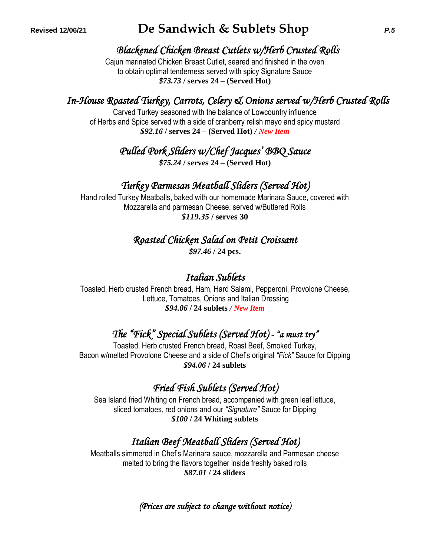# **Revised 12/06/21 De Sandwich & Sublets Shop** *P.5*

## *Blackened Chicken Breast Cutlets w/Herb Crusted Rolls*

Cajun marinated Chicken Breast Cutlet, seared and finished in the oven to obtain optimal tenderness served with spicy Signature Sauce *\$73.73* **/ serves 24 – (Served Hot)**

# *In-House Roasted Turkey, Carrots, Celery & Onions served w/Herb Crusted Rolls*

Carved Turkey seasoned with the balance of Lowcountry influence of Herbs and Spice served with a side of cranberry relish mayo and spicy mustard *\$92.16* **/ serves 24 – (Served Hot)** */ New Item*

*Pulled Pork Sliders w/Chef Jacques' BBQ Sauce* 

*\$75.24* **/ serves 24 – (Served Hot)**

## *Turkey Parmesan Meatball Sliders (Served Hot)*

Hand rolled Turkey Meatballs, baked with our homemade Marinara Sauce, covered with Mozzarella and parmesan Cheese, served w/Buttered Rolls *\$119.35* **/ serves 30**

*Roasted Chicken Salad on Petit Croissant* 

*\$97.46* **/ 24 pcs.**

## *Italian Sublets*

Toasted, Herb crusted French bread, Ham, Hard Salami, Pepperoni, Provolone Cheese, Lettuce, Tomatoes, Onions and Italian Dressing *\$94.06* **/ 24 sublets** */ New Item*

# *The "Fick" Special Sublets (Served Hot) - "a must try"*

Toasted, Herb crusted French bread, Roast Beef, Smoked Turkey, Bacon w/melted Provolone Cheese and a side of Chef's original *"Fick"* Sauce for Dipping *\$94.06* **/ 24 sublets**

# *Fried Fish Sublets (Served Hot)*

Sea Island fried Whiting on French bread, accompanied with green leaf lettuce, sliced tomatoes, red onions and our *"Signature"* Sauce for Dipping *\$100* **/ 24 Whiting sublets**

# *Italian Beef Meatball Sliders (Served Hot)*

Meatballs simmered in Chef's Marinara sauce, mozzarella and Parmesan cheese melted to bring the flavors together inside freshly baked rolls *\$87.01* **/ 24 sliders**